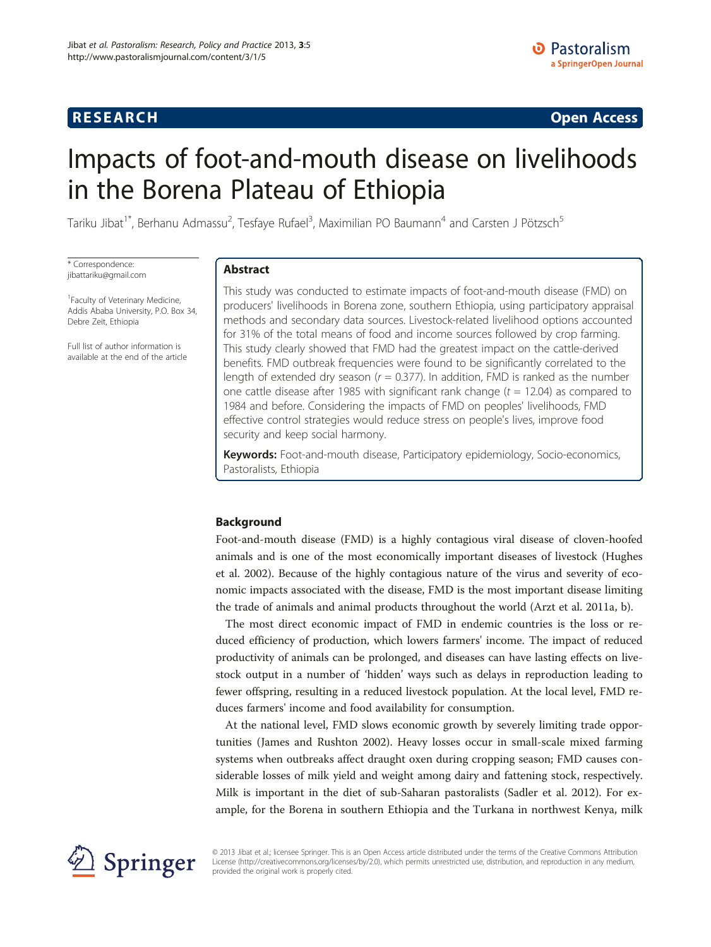## **RESEARCH CHINESE ARCH CHINESE ARCH CHINESE ARCH**

# Impacts of foot-and-mouth disease on livelihoods in the Borena Plateau of Ethiopia

Tariku Jibat<sup>1\*</sup>, Berhanu Admassu<sup>2</sup>, Tesfaye Rufael<sup>3</sup>, Maximilian PO Baumann<sup>4</sup> and Carsten J Pötzsch<sup>5</sup>

\* Correspondence: jibattariku@gmail.com

<sup>1</sup> Faculty of Veterinary Medicine, Addis Ababa University, P.O. Box 34, Debre Zeit, Ethiopia

Full list of author information is available at the end of the article

## Abstract

This study was conducted to estimate impacts of foot-and-mouth disease (FMD) on producers' livelihoods in Borena zone, southern Ethiopia, using participatory appraisal methods and secondary data sources. Livestock-related livelihood options accounted for 31% of the total means of food and income sources followed by crop farming. This study clearly showed that FMD had the greatest impact on the cattle-derived benefits. FMD outbreak frequencies were found to be significantly correlated to the length of extended dry season ( $r = 0.377$ ). In addition, FMD is ranked as the number one cattle disease after 1985 with significant rank change ( $t = 12.04$ ) as compared to 1984 and before. Considering the impacts of FMD on peoples' livelihoods, FMD effective control strategies would reduce stress on people's lives, improve food security and keep social harmony.

Keywords: Foot-and-mouth disease, Participatory epidemiology, Socio-economics, Pastoralists, Ethiopia

## **Background**

Foot-and-mouth disease (FMD) is a highly contagious viral disease of cloven-hoofed animals and is one of the most economically important diseases of livestock (Hughes et al. [2002](#page-9-0)). Because of the highly contagious nature of the virus and severity of economic impacts associated with the disease, FMD is the most important disease limiting the trade of animals and animal products throughout the world (Arzt et al. [2011a](#page-9-0), [b](#page-9-0)).

The most direct economic impact of FMD in endemic countries is the loss or reduced efficiency of production, which lowers farmers' income. The impact of reduced productivity of animals can be prolonged, and diseases can have lasting effects on livestock output in a number of 'hidden' ways such as delays in reproduction leading to fewer offspring, resulting in a reduced livestock population. At the local level, FMD reduces farmers' income and food availability for consumption.

At the national level, FMD slows economic growth by severely limiting trade opportunities (James and Rushton [2002\)](#page-9-0). Heavy losses occur in small-scale mixed farming systems when outbreaks affect draught oxen during cropping season; FMD causes considerable losses of milk yield and weight among dairy and fattening stock, respectively. Milk is important in the diet of sub-Saharan pastoralists (Sadler et al. [2012\)](#page-10-0). For example, for the Borena in southern Ethiopia and the Turkana in northwest Kenya, milk



© 2013 Jibat et al.; licensee Springer. This is an Open Access article distributed under the terms of the Creative Commons Attribution License [\(http://creativecommons.org/licenses/by/2.0\)](http://creativecommons.org/licenses/by/2.0), which permits unrestricted use, distribution, and reproduction in any medium, provided the original work is properly cited.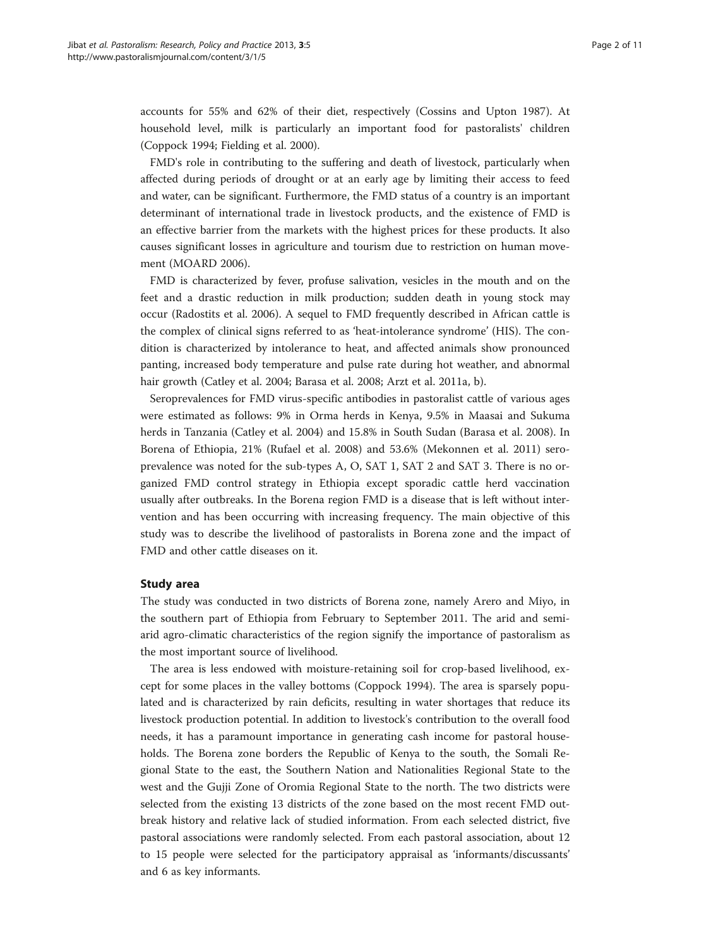accounts for 55% and 62% of their diet, respectively (Cossins and Upton [1987](#page-9-0)). At household level, milk is particularly an important food for pastoralists' children (Coppock [1994;](#page-9-0) Fielding et al. [2000\)](#page-9-0).

FMD's role in contributing to the suffering and death of livestock, particularly when affected during periods of drought or at an early age by limiting their access to feed and water, can be significant. Furthermore, the FMD status of a country is an important determinant of international trade in livestock products, and the existence of FMD is an effective barrier from the markets with the highest prices for these products. It also causes significant losses in agriculture and tourism due to restriction on human movement (MOARD [2006](#page-9-0)).

FMD is characterized by fever, profuse salivation, vesicles in the mouth and on the feet and a drastic reduction in milk production; sudden death in young stock may occur (Radostits et al. [2006\)](#page-10-0). A sequel to FMD frequently described in African cattle is the complex of clinical signs referred to as 'heat-intolerance syndrome' (HIS). The condition is characterized by intolerance to heat, and affected animals show pronounced panting, increased body temperature and pulse rate during hot weather, and abnormal hair growth (Catley et al. [2004](#page-9-0); Barasa et al. [2008](#page-9-0); Arzt et al. [2011a, b](#page-9-0)).

Seroprevalences for FMD virus-specific antibodies in pastoralist cattle of various ages were estimated as follows: 9% in Orma herds in Kenya, 9.5% in Maasai and Sukuma herds in Tanzania (Catley et al. [2004\)](#page-9-0) and 15.8% in South Sudan (Barasa et al. [2008\)](#page-9-0). In Borena of Ethiopia, 21% (Rufael et al. [2008](#page-10-0)) and 53.6% (Mekonnen et al. [2011\)](#page-9-0) seroprevalence was noted for the sub-types A, O, SAT 1, SAT 2 and SAT 3. There is no organized FMD control strategy in Ethiopia except sporadic cattle herd vaccination usually after outbreaks. In the Borena region FMD is a disease that is left without intervention and has been occurring with increasing frequency. The main objective of this study was to describe the livelihood of pastoralists in Borena zone and the impact of FMD and other cattle diseases on it.

#### Study area

The study was conducted in two districts of Borena zone, namely Arero and Miyo, in the southern part of Ethiopia from February to September 2011. The arid and semiarid agro-climatic characteristics of the region signify the importance of pastoralism as the most important source of livelihood.

The area is less endowed with moisture-retaining soil for crop-based livelihood, except for some places in the valley bottoms (Coppock [1994\)](#page-9-0). The area is sparsely populated and is characterized by rain deficits, resulting in water shortages that reduce its livestock production potential. In addition to livestock's contribution to the overall food needs, it has a paramount importance in generating cash income for pastoral households. The Borena zone borders the Republic of Kenya to the south, the Somali Regional State to the east, the Southern Nation and Nationalities Regional State to the west and the Gujji Zone of Oromia Regional State to the north. The two districts were selected from the existing 13 districts of the zone based on the most recent FMD outbreak history and relative lack of studied information. From each selected district, five pastoral associations were randomly selected. From each pastoral association, about 12 to 15 people were selected for the participatory appraisal as 'informants/discussants' and 6 as key informants.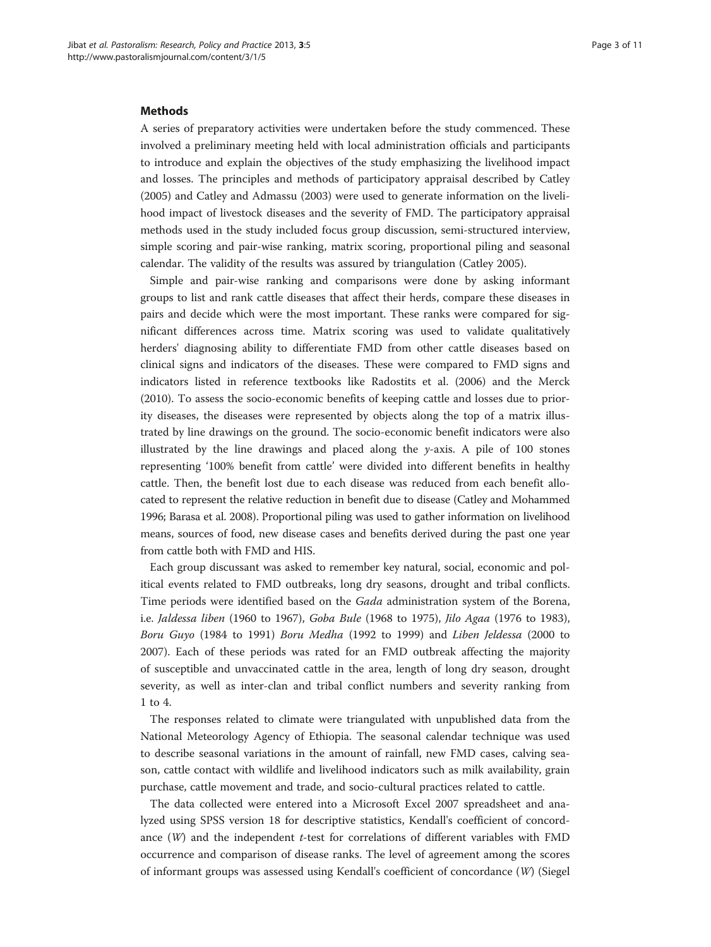#### **Methods**

A series of preparatory activities were undertaken before the study commenced. These involved a preliminary meeting held with local administration officials and participants to introduce and explain the objectives of the study emphasizing the livelihood impact and losses. The principles and methods of participatory appraisal described by Catley ([2005](#page-9-0)) and Catley and Admassu [\(2003\)](#page-9-0) were used to generate information on the livelihood impact of livestock diseases and the severity of FMD. The participatory appraisal methods used in the study included focus group discussion, semi-structured interview, simple scoring and pair-wise ranking, matrix scoring, proportional piling and seasonal calendar. The validity of the results was assured by triangulation (Catley [2005\)](#page-9-0).

Simple and pair-wise ranking and comparisons were done by asking informant groups to list and rank cattle diseases that affect their herds, compare these diseases in pairs and decide which were the most important. These ranks were compared for significant differences across time. Matrix scoring was used to validate qualitatively herders' diagnosing ability to differentiate FMD from other cattle diseases based on clinical signs and indicators of the diseases. These were compared to FMD signs and indicators listed in reference textbooks like Radostits et al. [\(2006](#page-10-0)) and the Merck ([2010](#page-9-0)). To assess the socio-economic benefits of keeping cattle and losses due to priority diseases, the diseases were represented by objects along the top of a matrix illustrated by line drawings on the ground. The socio-economic benefit indicators were also illustrated by the line drawings and placed along the  $y$ -axis. A pile of 100 stones representing '100% benefit from cattle' were divided into different benefits in healthy cattle. Then, the benefit lost due to each disease was reduced from each benefit allocated to represent the relative reduction in benefit due to disease (Catley and Mohammed [1996;](#page-9-0) Barasa et al. [2008\)](#page-9-0). Proportional piling was used to gather information on livelihood means, sources of food, new disease cases and benefits derived during the past one year from cattle both with FMD and HIS.

Each group discussant was asked to remember key natural, social, economic and political events related to FMD outbreaks, long dry seasons, drought and tribal conflicts. Time periods were identified based on the Gada administration system of the Borena, i.e. Jaldessa liben (1960 to 1967), Goba Bule (1968 to 1975), Jilo Agaa (1976 to 1983), Boru Guyo (1984 to 1991) Boru Medha (1992 to 1999) and Liben Jeldessa (2000 to 2007). Each of these periods was rated for an FMD outbreak affecting the majority of susceptible and unvaccinated cattle in the area, length of long dry season, drought severity, as well as inter-clan and tribal conflict numbers and severity ranking from 1 to 4.

The responses related to climate were triangulated with unpublished data from the National Meteorology Agency of Ethiopia. The seasonal calendar technique was used to describe seasonal variations in the amount of rainfall, new FMD cases, calving season, cattle contact with wildlife and livelihood indicators such as milk availability, grain purchase, cattle movement and trade, and socio-cultural practices related to cattle.

The data collected were entered into a Microsoft Excel 2007 spreadsheet and analyzed using SPSS version 18 for descriptive statistics, Kendall's coefficient of concordance  $(W)$  and the independent t-test for correlations of different variables with FMD occurrence and comparison of disease ranks. The level of agreement among the scores of informant groups was assessed using Kendall's coefficient of concordance (W) (Siegel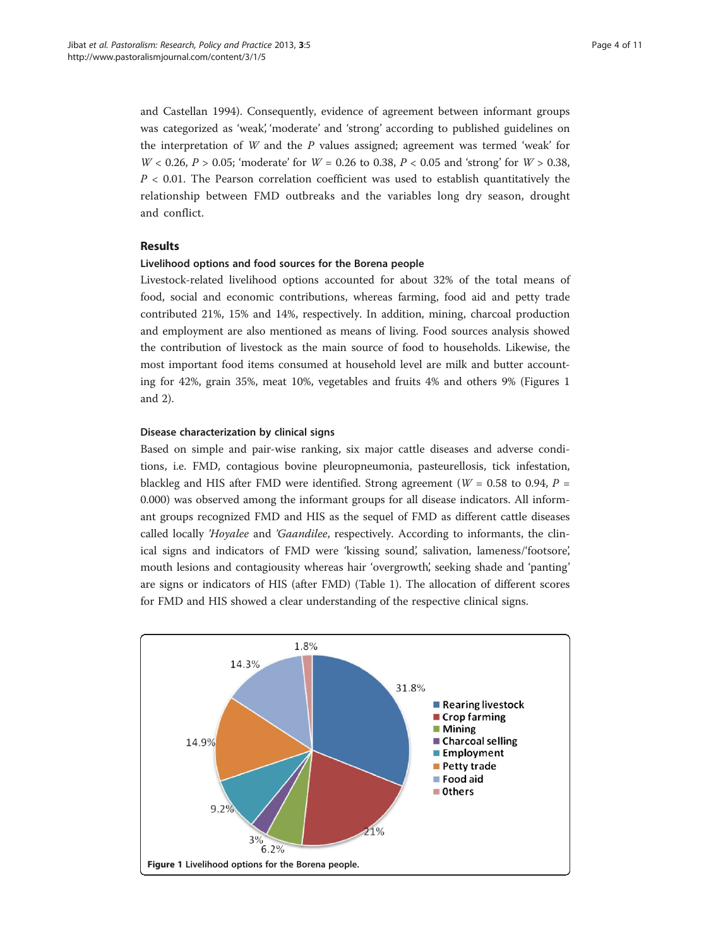and Castellan [1994\)](#page-10-0). Consequently, evidence of agreement between informant groups was categorized as 'weak', 'moderate' and 'strong' according to published guidelines on the interpretation of  $W$  and the  $P$  values assigned; agreement was termed 'weak' for  $W < 0.26$ ,  $P > 0.05$ ; 'moderate' for  $W = 0.26$  to 0.38,  $P < 0.05$  and 'strong' for  $W > 0.38$ ,  $P < 0.01$ . The Pearson correlation coefficient was used to establish quantitatively the relationship between FMD outbreaks and the variables long dry season, drought and conflict.

#### Results

#### Livelihood options and food sources for the Borena people

Livestock-related livelihood options accounted for about 32% of the total means of food, social and economic contributions, whereas farming, food aid and petty trade contributed 21%, 15% and 14%, respectively. In addition, mining, charcoal production and employment are also mentioned as means of living. Food sources analysis showed the contribution of livestock as the main source of food to households. Likewise, the most important food items consumed at household level are milk and butter accounting for 42%, grain 35%, meat 10%, vegetables and fruits 4% and others 9% (Figures 1 and [2\)](#page-4-0).

## Disease characterization by clinical signs

Based on simple and pair-wise ranking, six major cattle diseases and adverse conditions, i.e. FMD, contagious bovine pleuropneumonia, pasteurellosis, tick infestation, blackleg and HIS after FMD were identified. Strong agreement ( $W = 0.58$  to 0.94,  $P =$ 0.000) was observed among the informant groups for all disease indicators. All informant groups recognized FMD and HIS as the sequel of FMD as different cattle diseases called locally 'Hoyalee and 'Gaandilee, respectively. According to informants, the clinical signs and indicators of FMD were 'kissing sound', salivation, lameness/'footsore', mouth lesions and contagiousity whereas hair 'overgrowth', seeking shade and 'panting' are signs or indicators of HIS (after FMD) (Table [1](#page-5-0)). The allocation of different scores for FMD and HIS showed a clear understanding of the respective clinical signs.

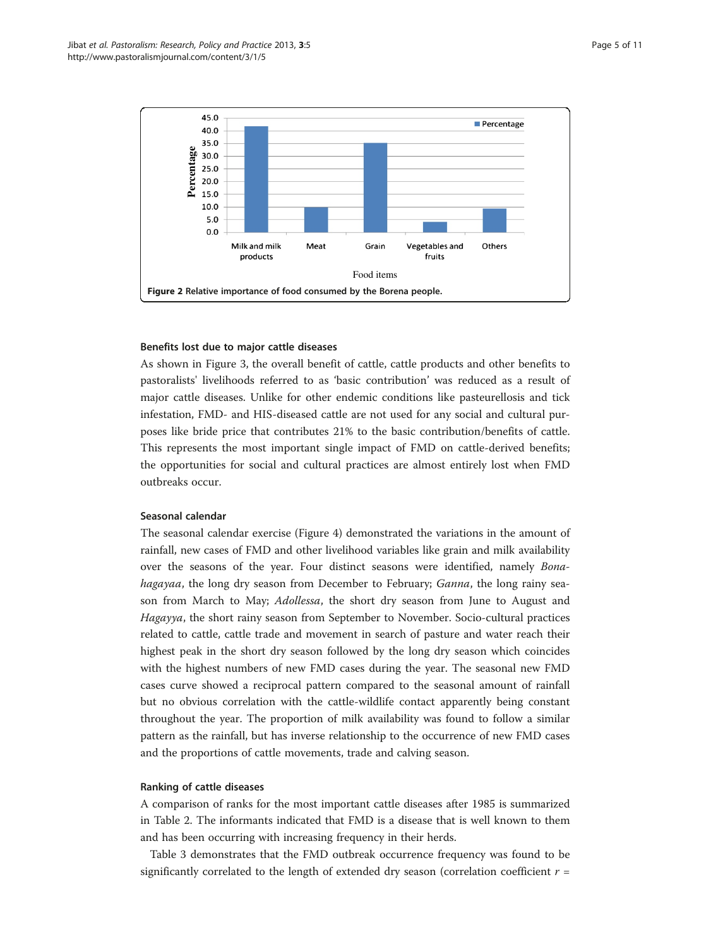<span id="page-4-0"></span>

#### Benefits lost due to major cattle diseases

As shown in Figure [3](#page-6-0), the overall benefit of cattle, cattle products and other benefits to pastoralists' livelihoods referred to as 'basic contribution' was reduced as a result of major cattle diseases. Unlike for other endemic conditions like pasteurellosis and tick infestation, FMD- and HIS-diseased cattle are not used for any social and cultural purposes like bride price that contributes 21% to the basic contribution/benefits of cattle. This represents the most important single impact of FMD on cattle-derived benefits; the opportunities for social and cultural practices are almost entirely lost when FMD outbreaks occur.

### Seasonal calendar

The seasonal calendar exercise (Figure [4\)](#page-6-0) demonstrated the variations in the amount of rainfall, new cases of FMD and other livelihood variables like grain and milk availability over the seasons of the year. Four distinct seasons were identified, namely Bonahagayaa, the long dry season from December to February; Ganna, the long rainy season from March to May; Adollessa, the short dry season from June to August and Hagayya, the short rainy season from September to November. Socio-cultural practices related to cattle, cattle trade and movement in search of pasture and water reach their highest peak in the short dry season followed by the long dry season which coincides with the highest numbers of new FMD cases during the year. The seasonal new FMD cases curve showed a reciprocal pattern compared to the seasonal amount of rainfall but no obvious correlation with the cattle-wildlife contact apparently being constant throughout the year. The proportion of milk availability was found to follow a similar pattern as the rainfall, but has inverse relationship to the occurrence of new FMD cases and the proportions of cattle movements, trade and calving season. **Example 12**<br> **Example 12**<br> **Example 12**<br> **Example 12**<br> **Example 12**<br> **Example 12**<br> **Example 2**<br> **Example 2**<br> **Example 2**<br> **Example 2**<br> **Example 2**<br> **Example 2**<br> **Example 2**<br> **Example Carlo be complementation** (correlated

### Ranking of cattle diseases

A comparison of ranks for the most important cattle diseases after 1985 is summarized in Table [2](#page-7-0). The informants indicated that FMD is a disease that is well known to them and has been occurring with increasing frequency in their herds.

Table [3](#page-8-0) demonstrates that the FMD outbreak occurrence frequency was found to be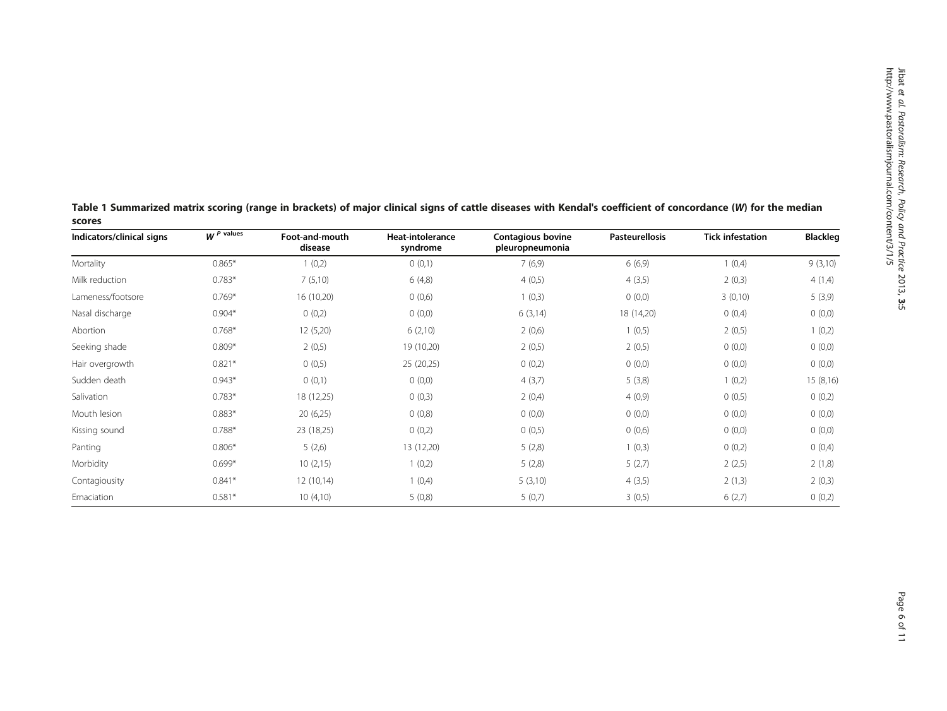Jibat et al.

| Indicators/clinical signs | $W^{\overline{P}$ values | Foot-and-mouth<br>disease | Heat-intolerance<br>syndrome | Contagious bovine<br>pleuropneumonia | <b>Pasteurellosis</b> | <b>Tick infestation</b> | <b>Blackleg</b> |
|---------------------------|--------------------------|---------------------------|------------------------------|--------------------------------------|-----------------------|-------------------------|-----------------|
| Mortality                 | $0.865*$                 | 1(0,2)                    | 0(0,1)                       | 7(6,9)                               | 6(6,9)                | 1(0,4)                  | 9(3,10)         |
| Milk reduction            | $0.783*$                 | 7(5,10)                   | 6(4,8)                       | 4(0,5)                               | 4(3,5)                | 2(0,3)                  | 4(1,4)          |
| Lameness/footsore         | $0.769*$                 | 16 (10,20)                | 0(0,6)                       | 1(0,3)                               | 0(0,0)                | 3(0,10)                 | 5(3,9)          |
| Nasal discharge           | $0.904*$                 | 0(0,2)                    | 0(0,0)                       | 6(3,14)                              | 18 (14,20)            | 0(0,4)                  | 0(0,0)          |
| Abortion                  | $0.768*$                 | 12 (5,20)                 | 6(2,10)                      | 2(0,6)                               | 1(0,5)                | 2(0,5)                  | 1(0,2)          |
| Seeking shade             | $0.809*$                 | 2(0,5)                    | 19 (10,20)                   | 2(0,5)                               | 2(0,5)                | 0(0,0)                  | 0(0,0)          |
| Hair overgrowth           | $0.821*$                 | 0(0,5)                    | 25(20,25)                    | 0(0,2)                               | 0(0,0)                | 0(0,0)                  | 0(0,0)          |
| Sudden death              | $0.943*$                 | 0(0,1)                    | 0(0,0)                       | 4(3,7)                               | 5(3,8)                | 1(0,2)                  | 15 (8,16)       |
| Salivation                | $0.783*$                 | 18 (12,25)                | 0(0,3)                       | 2(0,4)                               | 4(0,9)                | 0(0,5)                  | 0(0,2)          |
| Mouth lesion              | $0.883*$                 | 20(6,25)                  | 0(0,8)                       | 0(0,0)                               | 0(0,0)                | 0(0,0)                  | 0(0,0)          |
| Kissing sound             | $0.788*$                 | 23 (18,25)                | 0(0,2)                       | 0(0,5)                               | 0(0,6)                | 0(0,0)                  | (0,0)           |
| Panting                   | $0.806*$                 | 5(2,6)                    | 13 (12,20)                   | 5(2,8)                               | 1(0,3)                | 0(0,2)                  | 0(0,4)          |
| Morbidity                 | $0.699*$                 | 10(2,15)                  | 1(0,2)                       | 5(2,8)                               | 5(2,7)                | 2(2,5)                  | 2(1,8)          |
| Contagiousity             | $0.841*$                 | 12 (10,14)                | 1(0,4)                       | 5(3,10)                              | 4(3,5)                | 2(1,3)                  | 2(0,3)          |
| Emaciation                | $0.581*$                 | 10(4,10)                  | 5(0,8)                       | 5(0,7)                               | 3(0,5)                | 6(2,7)                  | 0(0,2)          |

<span id="page-5-0"></span>Table 1 Summarized matrix scoring (range in brackets) of major clinical signs of cattle diseases with Kendal's coefficient of concordance (W) for the median scores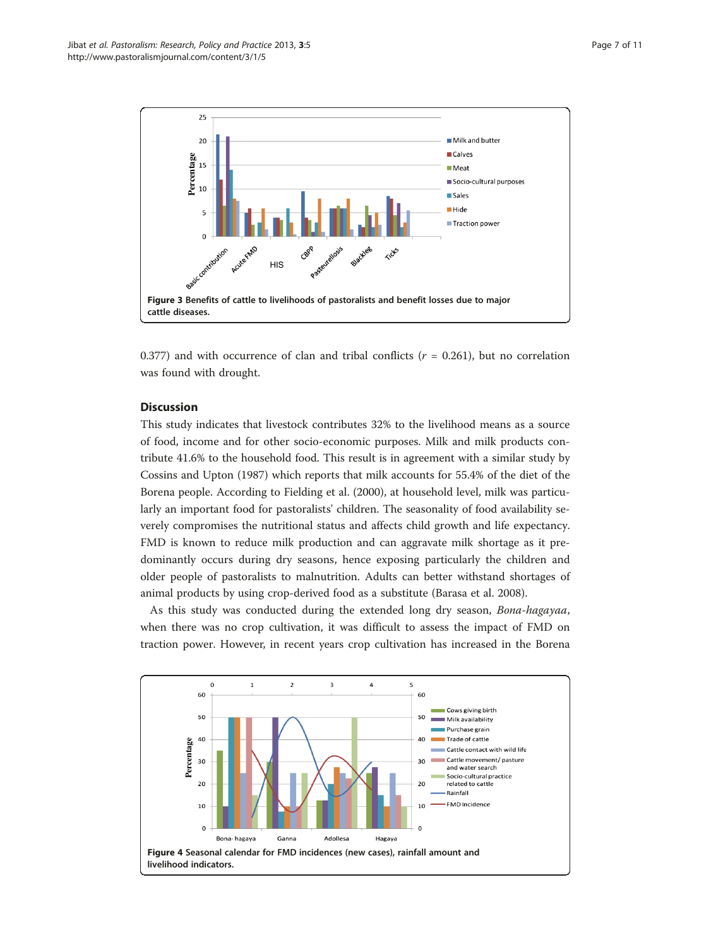<span id="page-6-0"></span>

0.377) and with occurrence of clan and tribal conflicts ( $r = 0.261$ ), but no correlation was found with drought.

#### **Discussion**

This study indicates that livestock contributes 32% to the livelihood means as a source of food, income and for other socio-economic purposes. Milk and milk products contribute 41.6% to the household food. This result is in agreement with a similar study by Cossins and Upton [\(1987\)](#page-9-0) which reports that milk accounts for 55.4% of the diet of the Borena people. According to Fielding et al. [\(2000\)](#page-9-0), at household level, milk was particularly an important food for pastoralists' children. The seasonality of food availability severely compromises the nutritional status and affects child growth and life expectancy. FMD is known to reduce milk production and can aggravate milk shortage as it predominantly occurs during dry seasons, hence exposing particularly the children and older people of pastoralists to malnutrition. Adults can better withstand shortages of animal products by using crop-derived food as a substitute (Barasa et al. [2008\)](#page-9-0).

As this study was conducted during the extended long dry season, Bona-hagayaa, when there was no crop cultivation, it was difficult to assess the impact of FMD on

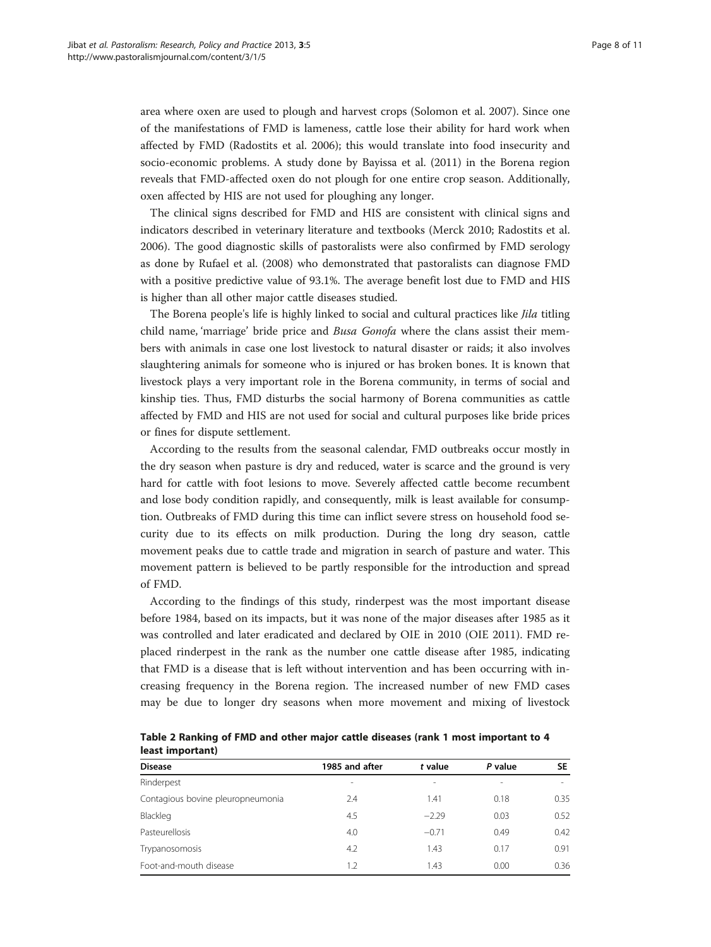<span id="page-7-0"></span>area where oxen are used to plough and harvest crops (Solomon et al. [2007](#page-10-0)). Since one of the manifestations of FMD is lameness, cattle lose their ability for hard work when affected by FMD (Radostits et al. [2006\)](#page-10-0); this would translate into food insecurity and socio-economic problems. A study done by Bayissa et al. [\(2011\)](#page-9-0) in the Borena region reveals that FMD-affected oxen do not plough for one entire crop season. Additionally, oxen affected by HIS are not used for ploughing any longer.

The clinical signs described for FMD and HIS are consistent with clinical signs and indicators described in veterinary literature and textbooks (Merck [2010;](#page-9-0) Radostits et al. [2006](#page-10-0)). The good diagnostic skills of pastoralists were also confirmed by FMD serology as done by Rufael et al. ([2008](#page-10-0)) who demonstrated that pastoralists can diagnose FMD with a positive predictive value of 93.1%. The average benefit lost due to FMD and HIS is higher than all other major cattle diseases studied.

The Borena people's life is highly linked to social and cultural practices like *Jila* titling child name, 'marriage' bride price and *Busa Gonofa* where the clans assist their members with animals in case one lost livestock to natural disaster or raids; it also involves slaughtering animals for someone who is injured or has broken bones. It is known that livestock plays a very important role in the Borena community, in terms of social and kinship ties. Thus, FMD disturbs the social harmony of Borena communities as cattle affected by FMD and HIS are not used for social and cultural purposes like bride prices or fines for dispute settlement.

According to the results from the seasonal calendar, FMD outbreaks occur mostly in the dry season when pasture is dry and reduced, water is scarce and the ground is very hard for cattle with foot lesions to move. Severely affected cattle become recumbent and lose body condition rapidly, and consequently, milk is least available for consumption. Outbreaks of FMD during this time can inflict severe stress on household food security due to its effects on milk production. During the long dry season, cattle movement peaks due to cattle trade and migration in search of pasture and water. This movement pattern is believed to be partly responsible for the introduction and spread of FMD.

According to the findings of this study, rinderpest was the most important disease before 1984, based on its impacts, but it was none of the major diseases after 1985 as it was controlled and later eradicated and declared by OIE in 2010 (OIE [2011\)](#page-9-0). FMD replaced rinderpest in the rank as the number one cattle disease after 1985, indicating that FMD is a disease that is left without intervention and has been occurring with increasing frequency in the Borena region. The increased number of new FMD cases may be due to longer dry seasons when more movement and mixing of livestock

| least important)                  |                |                          |         |      |  |  |
|-----------------------------------|----------------|--------------------------|---------|------|--|--|
| <b>Disease</b>                    | 1985 and after | t value                  | P value | SE.  |  |  |
| Rinderpest                        | -              | $\overline{\phantom{a}}$ | ۰       |      |  |  |
| Contagious bovine pleuropneumonia | 2.4            | 1.41                     | 0.18    | 0.35 |  |  |
| Blackleg                          | 4.5            | $-2.29$                  | 0.03    | 0.52 |  |  |
| Pasteurellosis                    | 4.0            | $-0.71$                  | 0.49    | 0.42 |  |  |
| Trypanosomosis                    | 4.2            | 1.43                     | 0.17    | 0.91 |  |  |
| Foot-and-mouth disease            | 1.2            | 1.43                     | 0.00    | 0.36 |  |  |

Table 2 Ranking of FMD and other major cattle diseases (rank 1 most important to 4 least important)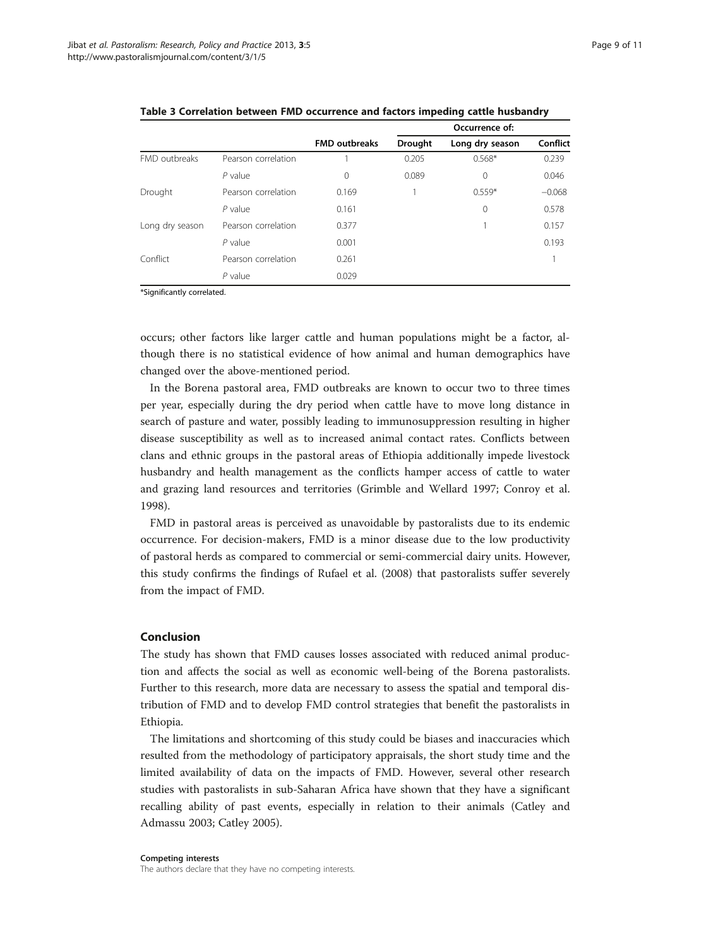|                      |                     |                      | Occurrence of: |                 |          |  |
|----------------------|---------------------|----------------------|----------------|-----------------|----------|--|
|                      |                     | <b>FMD</b> outbreaks | <b>Drought</b> | Long dry season | Conflict |  |
| <b>FMD</b> outbreaks | Pearson correlation |                      | 0.205          | $0.568*$        | 0.239    |  |
|                      | $P$ value           | 0                    | 0.089          | $\mathbf{0}$    | 0.046    |  |
| Drought              | Pearson correlation | 0.169                |                | $0.559*$        | $-0.068$ |  |
|                      | $P$ value           | 0.161                |                | $\mathbf{0}$    | 0.578    |  |
| Long dry season      | Pearson correlation | 0.377                |                |                 | 0.157    |  |
|                      | $P$ value           | 0.001                |                |                 | 0.193    |  |
| Conflict             | Pearson correlation | 0.261                |                |                 |          |  |
|                      | $P$ value           | 0.029                |                |                 |          |  |

<span id="page-8-0"></span>

\*Significantly correlated.

occurs; other factors like larger cattle and human populations might be a factor, although there is no statistical evidence of how animal and human demographics have changed over the above-mentioned period.

In the Borena pastoral area, FMD outbreaks are known to occur two to three times per year, especially during the dry period when cattle have to move long distance in search of pasture and water, possibly leading to immunosuppression resulting in higher disease susceptibility as well as to increased animal contact rates. Conflicts between clans and ethnic groups in the pastoral areas of Ethiopia additionally impede livestock husbandry and health management as the conflicts hamper access of cattle to water and grazing land resources and territories (Grimble and Wellard [1997;](#page-9-0) Conroy et al. [1998](#page-9-0)).

FMD in pastoral areas is perceived as unavoidable by pastoralists due to its endemic occurrence. For decision-makers, FMD is a minor disease due to the low productivity of pastoral herds as compared to commercial or semi-commercial dairy units. However, this study confirms the findings of Rufael et al. ([2008](#page-10-0)) that pastoralists suffer severely from the impact of FMD.

#### Conclusion

The study has shown that FMD causes losses associated with reduced animal production and affects the social as well as economic well-being of the Borena pastoralists. Further to this research, more data are necessary to assess the spatial and temporal distribution of FMD and to develop FMD control strategies that benefit the pastoralists in Ethiopia.

The limitations and shortcoming of this study could be biases and inaccuracies which resulted from the methodology of participatory appraisals, the short study time and the limited availability of data on the impacts of FMD. However, several other research studies with pastoralists in sub-Saharan Africa have shown that they have a significant recalling ability of past events, especially in relation to their animals (Catley and Admassu [2003;](#page-9-0) Catley [2005](#page-9-0)).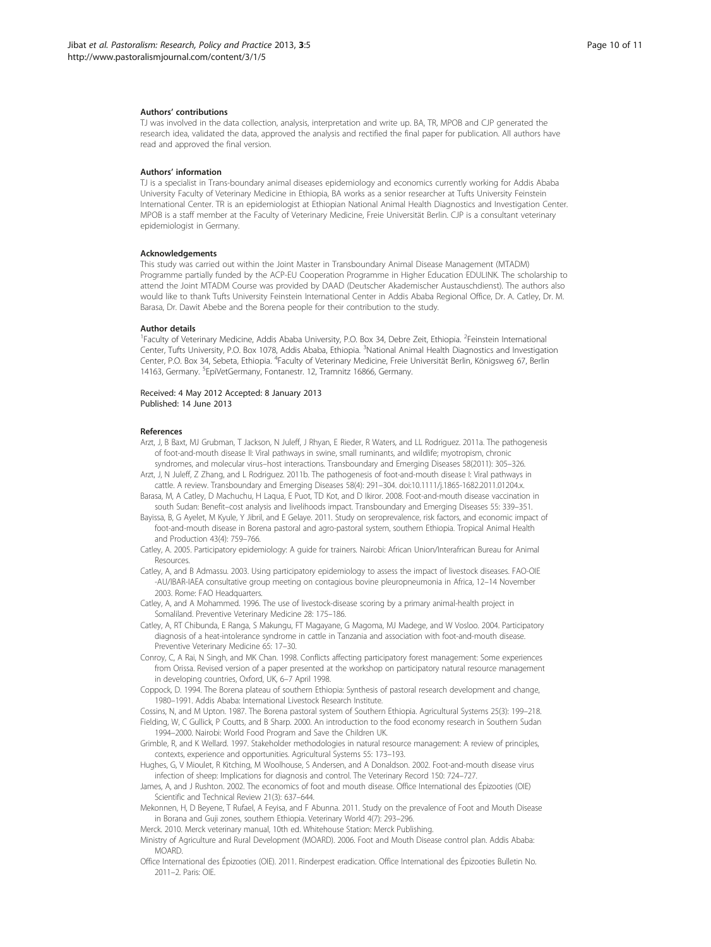#### <span id="page-9-0"></span>Authors' contributions

TJ was involved in the data collection, analysis, interpretation and write up. BA, TR, MPOB and CJP generated the research idea, validated the data, approved the analysis and rectified the final paper for publication. All authors have read and approved the final version.

#### Authors' information

TJ is a specialist in Trans-boundary animal diseases epidemiology and economics currently working for Addis Ababa University Faculty of Veterinary Medicine in Ethiopia, BA works as a senior researcher at Tufts University Feinstein International Center. TR is an epidemiologist at Ethiopian National Animal Health Diagnostics and Investigation Center. MPOB is a staff member at the Faculty of Veterinary Medicine, Freie Universität Berlin. CJP is a consultant veterinary epidemiologist in Germany.

#### **Acknowledgements**

This study was carried out within the Joint Master in Transboundary Animal Disease Management (MTADM) Programme partially funded by the ACP-EU Cooperation Programme in Higher Education EDULINK. The scholarship to attend the Joint MTADM Course was provided by DAAD (Deutscher Akademischer Austauschdienst). The authors also would like to thank Tufts University Feinstein International Center in Addis Ababa Regional Office, Dr. A. Catley, Dr. M. Barasa, Dr. Dawit Abebe and the Borena people for their contribution to the study.

#### Author details

<sup>1</sup>Faculty of Veterinary Medicine, Addis Ababa University, P.O. Box 34, Debre Zeit, Ethiopia. <sup>2</sup>Feinstein International Center, Tufts University, P.O. Box 1078, Addis Ababa, Ethiopia. <sup>3</sup>National Animal Health Diagnostics and Investigation Center, P.O. Box 34, Sebeta, Ethiopia. <sup>4</sup>Faculty of Veterinary Medicine, Freie Universität Berlin, Königsweg 67, Berlin 14163, Germany. <sup>5</sup>EpiVetGermany, Fontanestr. 12, Tramnitz 16866, Germany.

Received: 4 May 2012 Accepted: 8 January 2013 Published: 14 June 2013

#### References

- Arzt, J, B Baxt, MJ Grubman, T Jackson, N Juleff, J Rhyan, E Rieder, R Waters, and LL Rodriguez. 2011a. The pathogenesis of foot-and-mouth disease II: Viral pathways in swine, small ruminants, and wildlife; myotropism, chronic
- syndromes, and molecular virus–host interactions. Transboundary and Emerging Diseases 58(2011): 305–326. Arzt, J, N Juleff, Z Zhang, and L Rodriguez. 2011b. The pathogenesis of foot-and-mouth disease I: Viral pathways in cattle. A review. Transboundary and Emerging Diseases 58(4): 291–304. doi:[10.1111/j.1865-1682.2011.01204.x](http://dx.doi.org/10.1111/j.1865-1682.2011.01204.x).
- Barasa, M, A Catley, D Machuchu, H Laqua, E Puot, TD Kot, and D Ikiror. 2008. Foot-and-mouth disease vaccination in south Sudan: Benefit–cost analysis and livelihoods impact. Transboundary and Emerging Diseases 55: 339–351.
- Bayissa, B, G Ayelet, M Kyule, Y Jibril, and E Gelaye. 2011. Study on seroprevalence, risk factors, and economic impact of foot-and-mouth disease in Borena pastoral and agro-pastoral system, southern Ethiopia. Tropical Animal Health and Production 43(4): 759–766.
- Catley, A. 2005. Participatory epidemiology: A guide for trainers. Nairobi: African Union/Interafrican Bureau for Animal Resources.
- Catley, A, and B Admassu. 2003. Using participatory epidemiology to assess the impact of livestock diseases. FAO-OIE -AU/IBAR-IAEA consultative group meeting on contagious bovine pleuropneumonia in Africa, 12–14 November 2003. Rome: FAO Headquarters.
- Catley, A, and A Mohammed. 1996. The use of livestock-disease scoring by a primary animal-health project in Somaliland. Preventive Veterinary Medicine 28: 175–186.
- Catley, A, RT Chibunda, E Ranga, S Makungu, FT Magayane, G Magoma, MJ Madege, and W Vosloo. 2004. Participatory diagnosis of a heat-intolerance syndrome in cattle in Tanzania and association with foot-and-mouth disease. Preventive Veterinary Medicine 65: 17–30.
- Conroy, C, A Rai, N Singh, and MK Chan. 1998. Conflicts affecting participatory forest management: Some experiences from Orissa. Revised version of a paper presented at the workshop on participatory natural resource management in developing countries, Oxford, UK, 6–7 April 1998.
- Coppock, D. 1994. The Borena plateau of southern Ethiopia: Synthesis of pastoral research development and change, 1980–1991. Addis Ababa: International Livestock Research Institute.
- Cossins, N, and M Upton. 1987. The Borena pastoral system of Southern Ethiopia. Agricultural Systems 25(3): 199–218. Fielding, W, C Gullick, P Coutts, and B Sharp. 2000. An introduction to the food economy research in Southern Sudan 1994–2000. Nairobi: World Food Program and Save the Children UK.
- Grimble, R, and K Wellard. 1997. Stakeholder methodologies in natural resource management: A review of principles, contexts, experience and opportunities. Agricultural Systems 55: 173–193.
- Hughes, G, V Mioulet, R Kitching, M Woolhouse, S Andersen, and A Donaldson. 2002. Foot-and-mouth disease virus infection of sheep: Implications for diagnosis and control. The Veterinary Record 150: 724–727.

James, A, and J Rushton. 2002. The economics of foot and mouth disease. Office International des Épizooties (OIE) Scientific and Technical Review 21(3): 637–644.

- Mekonnen, H, D Beyene, T Rufael, A Feyisa, and F Abunna. 2011. Study on the prevalence of Foot and Mouth Disease in Borana and Guji zones, southern Ethiopia. Veterinary World 4(7): 293–296.
- Merck. 2010. Merck veterinary manual, 10th ed. Whitehouse Station: Merck Publishing.
- Ministry of Agriculture and Rural Development (MOARD). 2006. Foot and Mouth Disease control plan. Addis Ababa: MOARD.
- Office International des Épizooties (OIE). 2011. Rinderpest eradication. Office International des Épizooties Bulletin No. 2011–2. Paris: OIE.